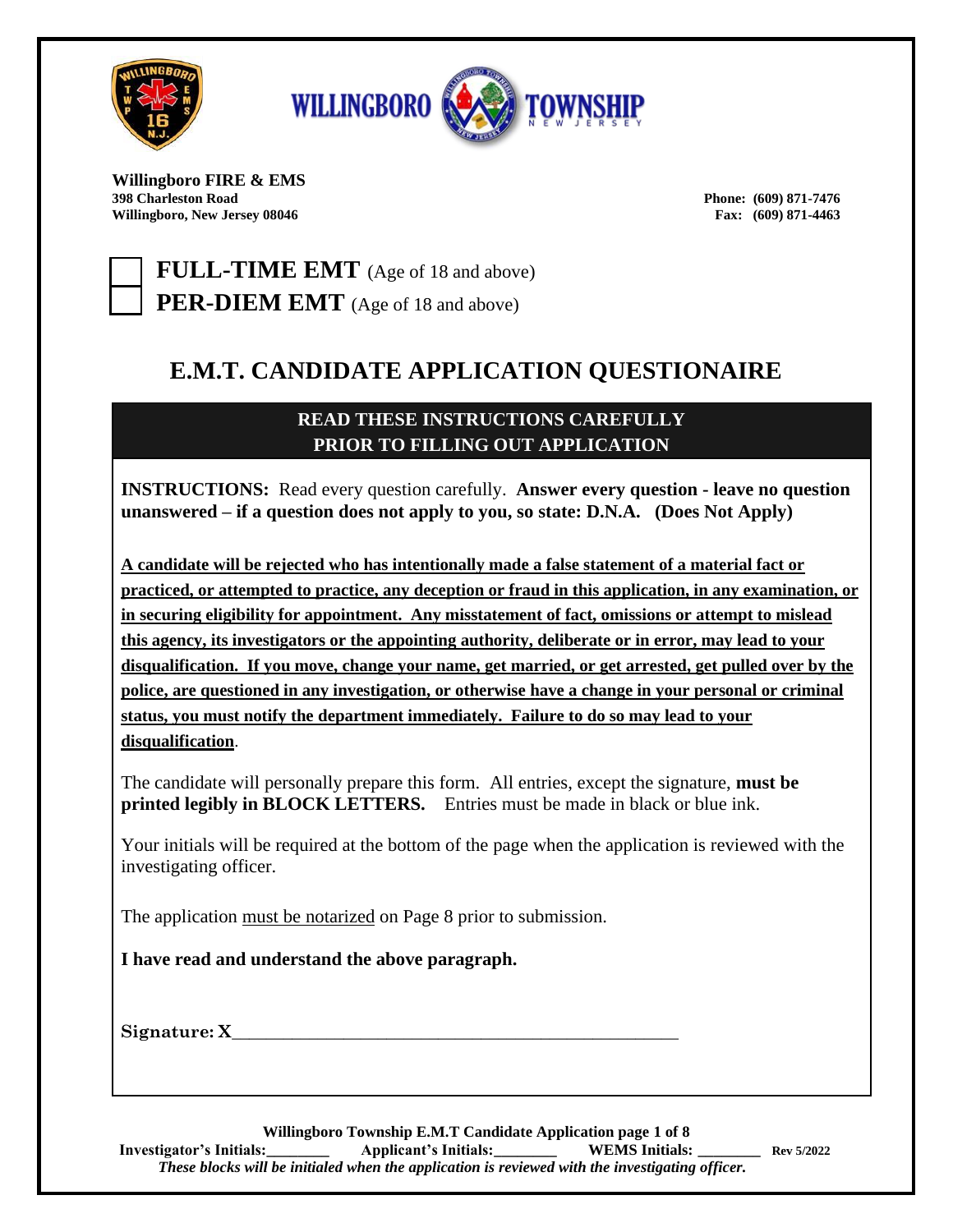



**Willingboro FIRE & EMS Willingboro, New Jersey 08046 Fax: (609) 871-4463**

**398 Charleston Road Phone: (609) 871-7476**

**FULL-TIME EMT** (Age of 18 and above) **PER-DIEM EMT** (Age of 18 and above)

# **E.M.T. CANDIDATE APPLICATION QUESTIONAIRE**

## **READ THESE INSTRUCTIONS CAREFULLY PRIOR TO FILLING OUT APPLICATION**

**INSTRUCTIONS:** Read every question carefully. **Answer every question - leave no question unanswered – if a question does not apply to you, so state: D.N.A. (Does Not Apply)**

**A candidate will be rejected who has intentionally made a false statement of a material fact or practiced, or attempted to practice, any deception or fraud in this application, in any examination, or in securing eligibility for appointment. Any misstatement of fact, omissions or attempt to mislead this agency, its investigators or the appointing authority, deliberate or in error, may lead to your disqualification. If you move, change your name, get married, or get arrested, get pulled over by the police, are questioned in any investigation, or otherwise have a change in your personal or criminal status, you must notify the department immediately. Failure to do so may lead to your disqualification**.

The candidate will personally prepare this form. All entries, except the signature, **must be printed legibly in BLOCK LETTERS.** Entries must be made in black or blue ink.

Your initials will be required at the bottom of the page when the application is reviewed with the investigating officer.

The application must be notarized on Page 8 prior to submission.

**I have read and understand the above paragraph.**

**Signature: X\_\_\_\_\_\_\_\_\_\_\_\_\_\_\_\_\_\_\_\_\_\_\_\_\_\_\_\_\_\_\_\_\_\_\_\_\_\_\_\_\_\_\_\_\_\_\_\_\_\_\_\_**

**Willingboro Township E.M.T Candidate Application page 1 of 8 Investigator's Initials:\_\_\_\_\_\_\_\_ Applicant's Initials:\_\_\_\_\_\_\_\_ WEMS Initials: \_\_\_\_\_\_\_\_ Rev 5/2022**  *These blocks will be initialed when the application is reviewed with the investigating officer.*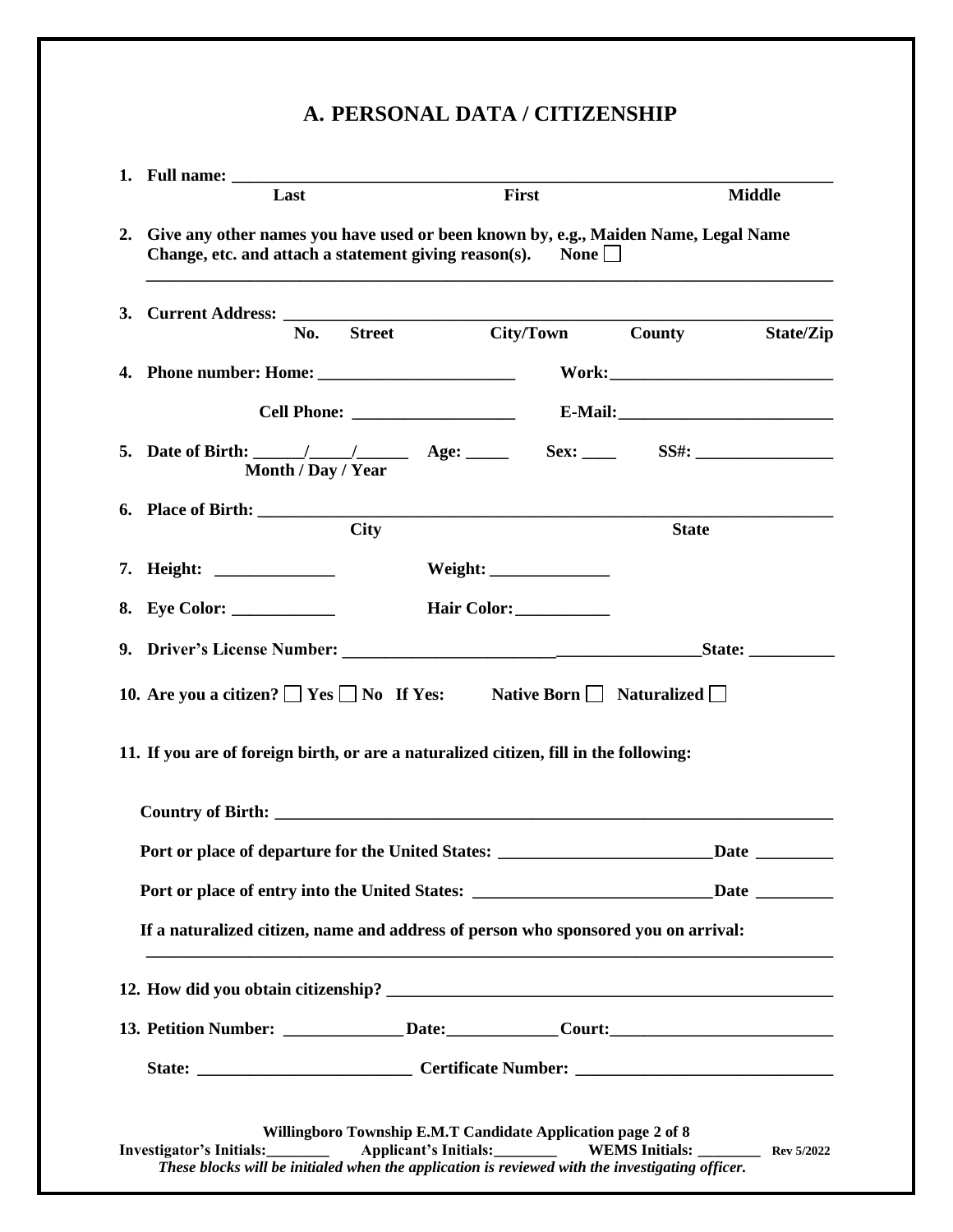# **A. PERSONAL DATA / CITIZENSHIP**

| Last                                                                                                                                                                                       |                                                              |             | First           |                  | <b>Middle</b>          |
|--------------------------------------------------------------------------------------------------------------------------------------------------------------------------------------------|--------------------------------------------------------------|-------------|-----------------|------------------|------------------------|
| 2. Give any other names you have used or been known by, e.g., Maiden Name, Legal Name<br>Change, etc. and attach a statement giving reason(s).                                             |                                                              |             | $\mathbf{None}$ |                  |                        |
| No.                                                                                                                                                                                        | <b>Street</b>                                                |             |                 | City/Town County | State/Zip              |
|                                                                                                                                                                                            |                                                              |             |                 |                  |                        |
|                                                                                                                                                                                            |                                                              |             |                 |                  |                        |
| 5. Date of Birth: $\frac{1}{\sqrt{2}}$ Age:<br>Month / Day / Year                                                                                                                          |                                                              |             |                 |                  |                        |
|                                                                                                                                                                                            | <b>City</b>                                                  |             |                 | <b>State</b>     |                        |
|                                                                                                                                                                                            |                                                              | Weight:     |                 |                  |                        |
| 8. Eye Color:                                                                                                                                                                              |                                                              | Hair Color: |                 |                  |                        |
|                                                                                                                                                                                            |                                                              |             |                 |                  |                        |
| 10. Are you a citizen? $\Box$ Yes $\Box$ No If Yes: Native Born $\Box$ Naturalized $\Box$<br>11. If you are of foreign birth, or are a naturalized citizen, fill in the following:         |                                                              |             |                 |                  |                        |
|                                                                                                                                                                                            |                                                              |             |                 |                  |                        |
| Port or place of departure for the United States: _______________________________                                                                                                          |                                                              |             |                 |                  | $\Delta$ Date $\Delta$ |
| Port or place of entry into the United States: _______________________________Date _________________<br>If a naturalized citizen, name and address of person who sponsored you on arrival: |                                                              |             |                 |                  |                        |
|                                                                                                                                                                                            |                                                              |             |                 |                  |                        |
| 13. Petition Number: _______________Date: ______________Court: __________________                                                                                                          |                                                              |             |                 |                  |                        |
|                                                                                                                                                                                            |                                                              |             |                 |                  |                        |
| Investigator's Initials:<br>These blocks will be initialed when the application is reviewed with the investigating officer.                                                                | Willingboro Township E.M.T Candidate Application page 2 of 8 |             |                 |                  |                        |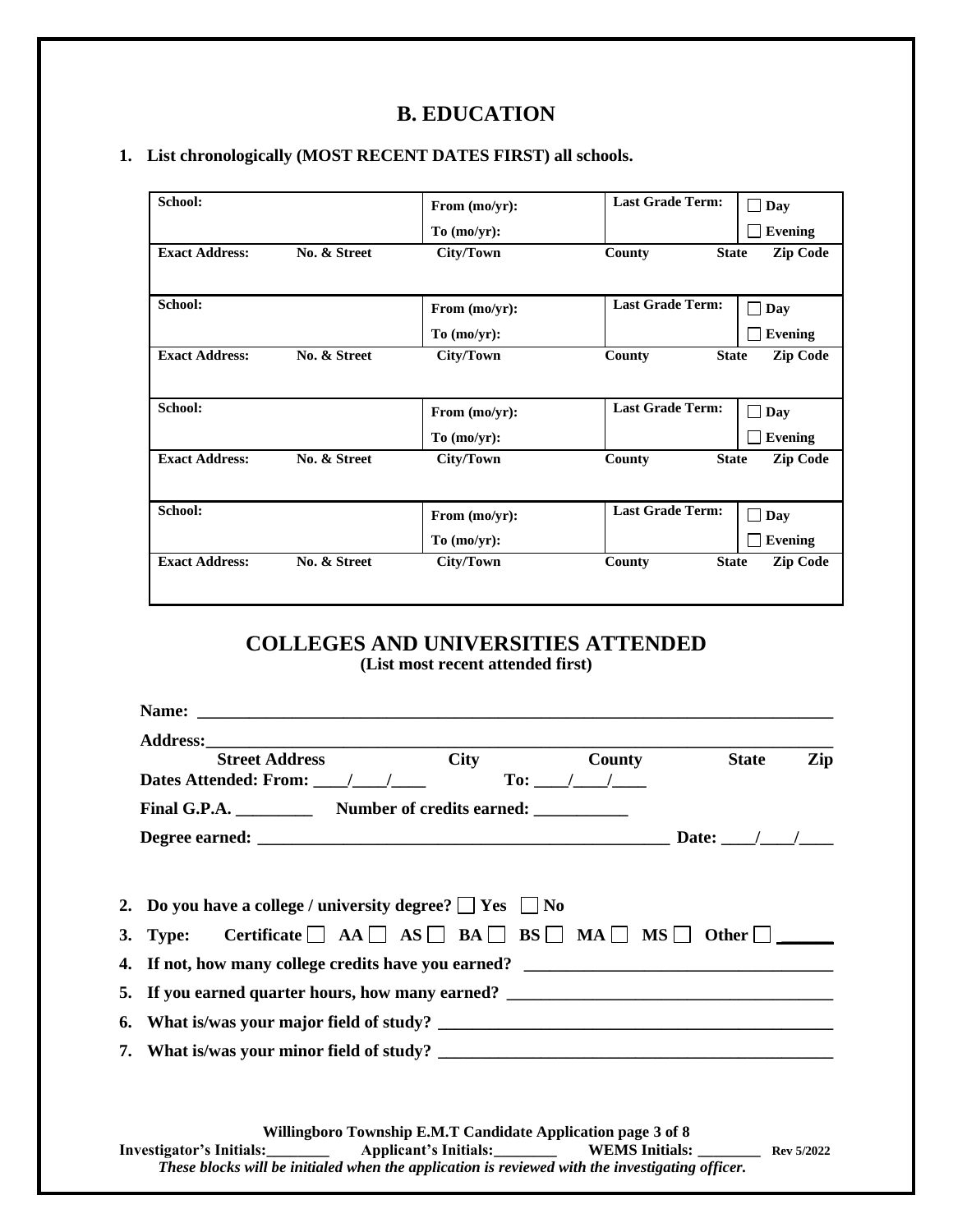# **B. EDUCATION**

### **1. List chronologically (MOST RECENT DATES FIRST) all schools.**

| School:               |              | From (mo/yr): | <b>Last Grade Term:</b> | $\Box$ Day      |
|-----------------------|--------------|---------------|-------------------------|-----------------|
|                       |              | To (mo/yr):   |                         | Evening         |
| <b>Exact Address:</b> | No. & Street | City/Town     | County<br><b>State</b>  | <b>Zip Code</b> |
| School:               |              | From (mo/yr): | <b>Last Grade Term:</b> | $\Box$ Day      |
|                       |              | To (mo/yr):   |                         | <b>Evening</b>  |
| <b>Exact Address:</b> | No. & Street | City/Town     | <b>State</b><br>County  | <b>Zip Code</b> |
|                       |              |               |                         |                 |
| School:               |              | From (mo/yr): | <b>Last Grade Term:</b> | $\Box$ Day      |
|                       |              | To (mo/yr):   |                         | <b>Evening</b>  |
| <b>Exact Address:</b> | No. & Street | City/Town     | County<br><b>State</b>  | <b>Zip Code</b> |
|                       |              |               |                         |                 |
| School:               |              | From (mo/yr): | <b>Last Grade Term:</b> | $\Box$<br>Day   |
|                       |              | To (mo/yr):   |                         | <b>Evening</b>  |
| <b>Exact Address:</b> | No. & Street | City/Town     | County<br><b>State</b>  | <b>Zip Code</b> |
|                       |              |               |                         |                 |

# **COLLEGES AND UNIVERSITIES ATTENDED**

**(List most recent attended first)**

| Address: Street Address City<br><b>County</b><br><b>State</b><br>Zip                                      |
|-----------------------------------------------------------------------------------------------------------|
| To: $1/$                                                                                                  |
| Final G.P.A. Number of credits earned:                                                                    |
|                                                                                                           |
|                                                                                                           |
| 2. Do you have a college / university degree? $\Box$ Yes $\Box$ No                                        |
| 3. Type: Certificate $\Box$ AA $\Box$ AS $\Box$ BA $\Box$ BS $\Box$ MA $\Box$ MS $\Box$ Other $\Box$ ____ |
|                                                                                                           |
| 5. If you earned quarter hours, how many earned? _______________________________                          |
|                                                                                                           |
|                                                                                                           |
|                                                                                                           |
|                                                                                                           |
| Willingboro Township E.M.T Candidate Application page 3 of 8                                              |
|                                                                                                           |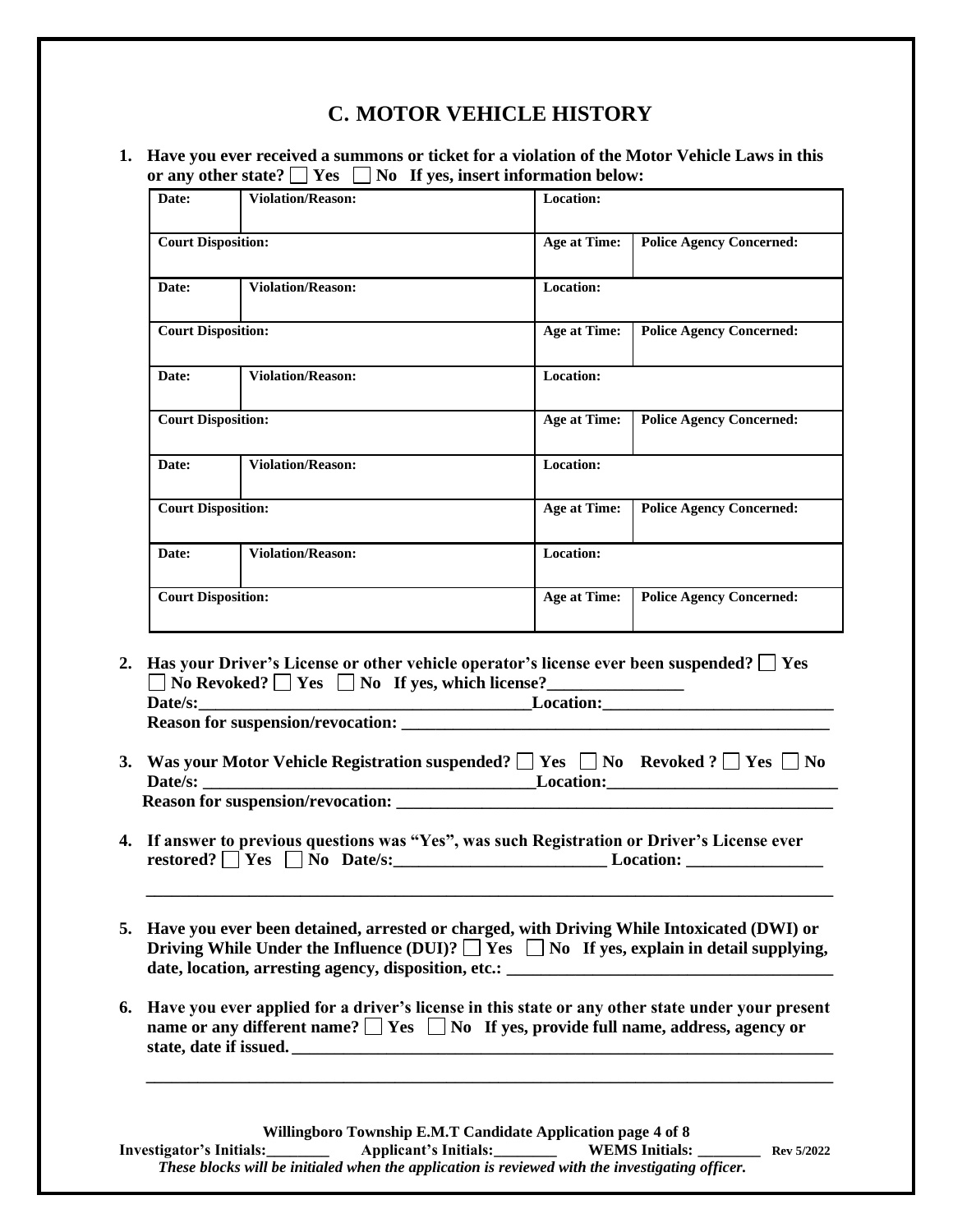# **C. MOTOR VEHICLE HISTORY**

#### **1. Have you ever received a summons or ticket for a violation of the Motor Vehicle Laws in this**  or any other state?  $\Box$  Yes  $\Box$  No If yes, insert information below:

| Date:                     | <b>Violation/Reason:</b> | Location:           |                                 |
|---------------------------|--------------------------|---------------------|---------------------------------|
| <b>Court Disposition:</b> |                          | <b>Age at Time:</b> | <b>Police Agency Concerned:</b> |
| Date:                     | <b>Violation/Reason:</b> | Location:           |                                 |
| <b>Court Disposition:</b> |                          | <b>Age at Time:</b> | <b>Police Agency Concerned:</b> |
| Date:                     | <b>Violation/Reason:</b> | <b>Location:</b>    |                                 |
| <b>Court Disposition:</b> |                          | <b>Age at Time:</b> | <b>Police Agency Concerned:</b> |
| Date:                     | <b>Violation/Reason:</b> | <b>Location:</b>    |                                 |
| <b>Court Disposition:</b> |                          | <b>Age at Time:</b> | <b>Police Agency Concerned:</b> |
| Date:                     | <b>Violation/Reason:</b> | Location:           |                                 |
| <b>Court Disposition:</b> |                          | <b>Age at Time:</b> | <b>Police Agency Concerned:</b> |

2. **Has your Driver's License or other vehicle operator's license ever been suspended?**  $\Box$  **Yes**  $\Box$  No Revoked?  $\Box$  Yes  $\Box$  No If yes, which license? **Date/s:\_\_\_\_\_\_\_\_\_\_\_\_\_\_\_\_\_\_\_\_\_\_\_\_\_\_\_\_\_\_\_\_\_\_\_\_\_\_\_Location:\_\_\_\_\_\_\_\_\_\_\_\_\_\_\_\_\_\_\_\_\_\_\_\_\_\_\_**

**Reason for suspension/revocation: \_\_\_\_\_\_\_\_\_\_\_\_\_\_\_\_\_\_\_\_\_\_\_\_\_\_\_\_\_\_\_\_\_\_\_\_\_\_\_\_\_\_\_\_\_\_\_\_\_\_**

- **3. Was your Motor Vehicle Registration suspended?**  $\Box$  **Yes**  $\Box$  **No** Revoked ?  $\Box$  **Yes**  $\Box$  **No Date/s: \_\_\_\_\_\_\_\_\_\_\_\_\_\_\_\_\_\_\_\_\_\_\_\_\_\_\_\_\_\_\_\_\_\_\_\_\_\_\_Location:\_\_\_\_\_\_\_\_\_\_\_\_\_\_\_\_\_\_\_\_\_\_\_\_\_\_\_ Reason for suspension/revocation: \_\_\_\_\_\_\_\_\_\_\_\_\_\_\_\_\_\_\_\_\_\_\_\_\_\_\_\_\_\_\_\_\_\_\_\_\_\_\_\_\_\_\_\_\_\_\_\_\_\_\_**
- **4. If answer to previous questions was "Yes", was such Registration or Driver's License ever restored? Yes No Date/s:\_\_\_\_\_\_\_\_\_\_\_\_\_\_\_\_\_\_\_\_\_\_\_\_\_ Location: \_\_\_\_\_\_\_\_\_\_\_\_\_\_\_\_**
- **5. Have you ever been detained, arrested or charged, with Driving While Intoxicated (DWI) or**  Driving While Under the Influence (DUI)?  $\Box$  Yes  $\Box$  No If yes, explain in detail supplying, **date, location, arresting agency, disposition, etc.: \_\_\_\_\_\_\_\_\_\_\_\_\_\_\_\_\_\_\_\_\_\_\_\_\_\_\_\_\_\_\_\_\_\_\_\_\_\_**

**\_\_\_\_\_\_\_\_\_\_\_\_\_\_\_\_\_\_\_\_\_\_\_\_\_\_\_\_\_\_\_\_\_\_\_\_\_\_\_\_\_\_\_\_\_\_\_\_\_\_\_\_\_\_\_\_\_\_\_\_\_\_\_\_\_\_\_\_\_\_\_\_\_\_\_\_\_\_\_\_**

**6. Have you ever applied for a driver's license in this state or any other state under your present name or any different name?**  $\Box$  Yes  $\Box$  No If yes, provide full name, address, agency or **state, date if issued. \_\_\_\_\_\_\_\_\_\_\_\_\_\_\_\_\_\_\_\_\_\_\_\_\_\_\_\_\_\_\_\_\_\_\_\_\_\_\_\_\_\_\_\_\_\_\_\_\_\_\_\_\_\_\_\_\_\_\_\_\_\_\_**

**\_\_\_\_\_\_\_\_\_\_\_\_\_\_\_\_\_\_\_\_\_\_\_\_\_\_\_\_\_\_\_\_\_\_\_\_\_\_\_\_\_\_\_\_\_\_\_\_\_\_\_\_\_\_\_\_\_\_\_\_\_\_\_\_\_\_\_\_\_\_\_\_\_\_\_\_\_\_\_\_**

**Willingboro Township E.M.T Candidate Application page 4 of 8 Investigator's Initials:\_\_\_\_\_\_\_\_ Applicant's Initials:\_\_\_\_\_\_\_\_ WEMS Initials: \_\_\_\_\_\_\_\_ Rev 5/2022**  *These blocks will be initialed when the application is reviewed with the investigating officer.*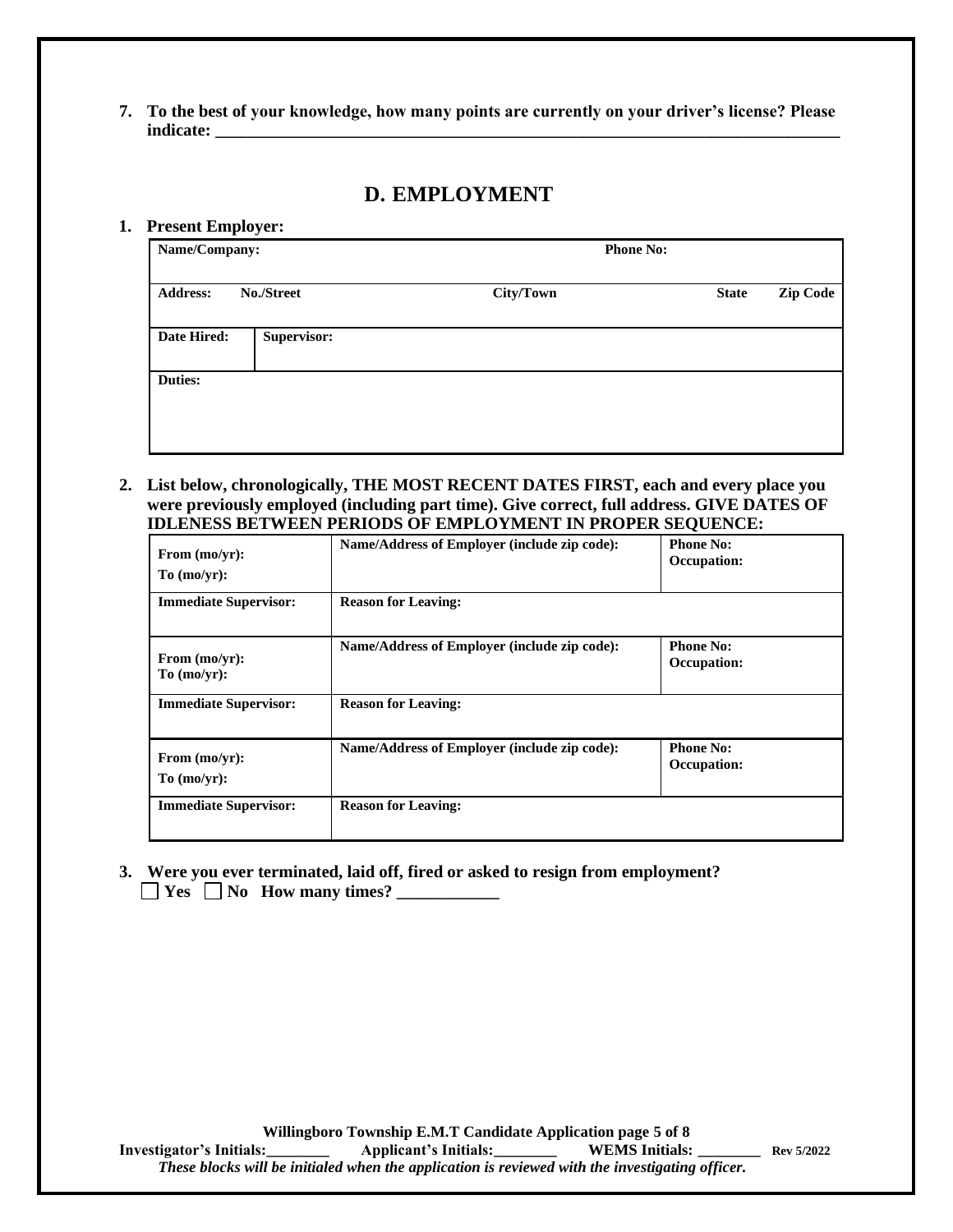**7. To the best of your knowledge, how many points are currently on your driver's license? Please indicate: \_\_\_\_\_\_\_\_\_\_\_\_\_\_\_\_\_\_\_\_\_\_\_\_\_\_\_\_\_\_\_\_\_\_\_\_\_\_\_\_\_\_\_\_\_\_\_\_\_\_\_\_\_\_\_\_\_\_\_\_\_\_\_\_\_\_\_\_\_\_\_\_\_**

### **D. EMPLOYMENT**

#### **1. Present Employer:**

| Name/Company:   |             | <b>Phone No:</b> |                                 |
|-----------------|-------------|------------------|---------------------------------|
| <b>Address:</b> | No./Street  | City/Town        | <b>Zip Code</b><br><b>State</b> |
| Date Hired:     | Supervisor: |                  |                                 |
| <b>Duties:</b>  |             |                  |                                 |

**2. List below, chronologically, THE MOST RECENT DATES FIRST, each and every place you were previously employed (including part time). Give correct, full address. GIVE DATES OF IDLENESS BETWEEN PERIODS OF EMPLOYMENT IN PROPER SEQUENCE:**

| From (mo/yr):<br>To (mo/yr):    | Name/Address of Employer (include zip code): | <b>Phone No:</b><br>Occupation: |
|---------------------------------|----------------------------------------------|---------------------------------|
| <b>Immediate Supervisor:</b>    | <b>Reason for Leaving:</b>                   |                                 |
| From $(mo/yr)$ :<br>To (mo/yr): | Name/Address of Employer (include zip code): | <b>Phone No:</b><br>Occupation: |
| <b>Immediate Supervisor:</b>    | <b>Reason for Leaving:</b>                   |                                 |
| From (mo/yr):<br>To (mo/yr):    | Name/Address of Employer (include zip code): | <b>Phone No:</b><br>Occupation: |
| <b>Immediate Supervisor:</b>    | <b>Reason for Leaving:</b>                   |                                 |

**3. Were you ever terminated, laid off, fired or asked to resign from employment? Yes No How many times?**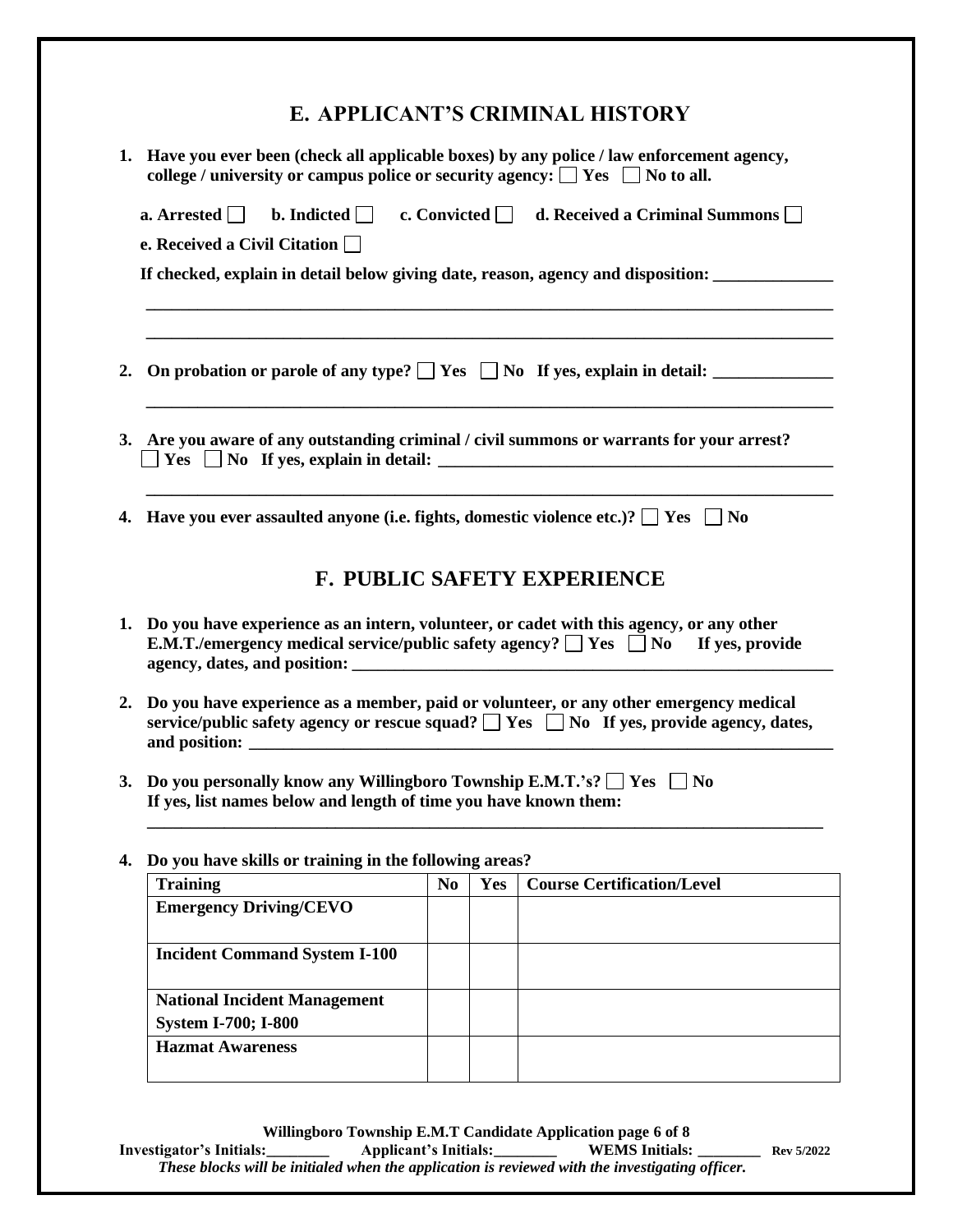# **E. APPLICANT'S CRIMINAL HISTORY**

| 1. Have you ever been (check all applicable boxes) by any police / law enforcement agency,<br>college / university or campus police or security agency: $\Box$ Yes $\Box$ No to all. |                |     |                                                                                                    |
|--------------------------------------------------------------------------------------------------------------------------------------------------------------------------------------|----------------|-----|----------------------------------------------------------------------------------------------------|
|                                                                                                                                                                                      |                |     | a. Arrested b. Indicted c. Convicted d. Received a Criminal Summons                                |
| e. Received a Civil Citation $\Box$                                                                                                                                                  |                |     |                                                                                                    |
|                                                                                                                                                                                      |                |     | If checked, explain in detail below giving date, reason, agency and disposition:                   |
|                                                                                                                                                                                      |                |     | 2. On probation or parole of any type? $\Box$ Yes $\Box$ No If yes, explain in detail:             |
| 3. Are you aware of any outstanding criminal / civil summons or warrants for your arrest?                                                                                            |                |     |                                                                                                    |
| 4. Have you ever assaulted anyone (i.e. fights, domestic violence etc.)? $\Box$ Yes $\Box$ No                                                                                        |                |     |                                                                                                    |
|                                                                                                                                                                                      |                |     | <b>F. PUBLIC SAFETY EXPERIENCE</b>                                                                 |
| 1. Do you have experience as an intern, volunteer, or cadet with this agency, or any other                                                                                           |                |     | <b>E.M.T./emergency medical service/public safety agency?</b> $\Box$ Yes $\Box$ No If yes, provide |
| 2. Do you have experience as a member, paid or volunteer, or any other emergency medical                                                                                             |                |     | service/public safety agency or rescue squad? $\Box$ Yes $\Box$ No If yes, provide agency, dates,  |
| 3. Do you personally know any Willingboro Township E.M.T.'s? $\Box$ Yes $\Box$ No<br>If yes, list names below and length of time you have known them:                                |                |     |                                                                                                    |
| 4. Do you have skills or training in the following areas?                                                                                                                            |                |     |                                                                                                    |
| <b>Training</b>                                                                                                                                                                      | N <sub>0</sub> | Yes | <b>Course Certification/Level</b>                                                                  |
| <b>Emergency Driving/CEVO</b>                                                                                                                                                        |                |     |                                                                                                    |
| <b>Incident Command System I-100</b>                                                                                                                                                 |                |     |                                                                                                    |
| <b>National Incident Management</b>                                                                                                                                                  |                |     |                                                                                                    |
| <b>System I-700; I-800</b>                                                                                                                                                           |                |     |                                                                                                    |

**Hazmat Awareness**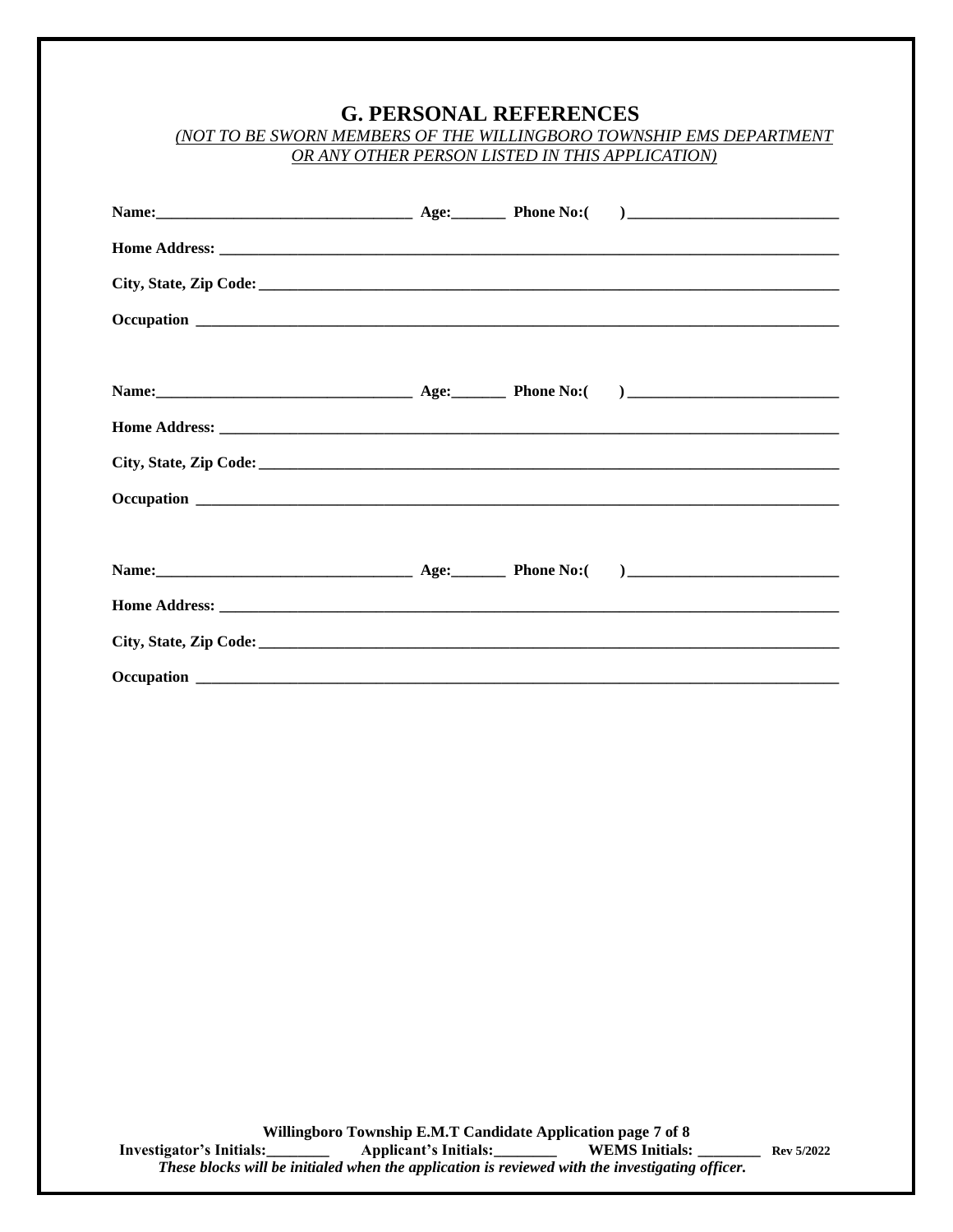## **G. PERSONAL REFERENCES**

| (NOT TO BE SWORN MEMBERS OF THE WILLINGBORO TOWNSHIP EMS DEPARTMENT |  |
|---------------------------------------------------------------------|--|
| OR ANY OTHER PERSON LISTED IN THIS APPLICATION)                     |  |

**Willingboro Township E.M.T Candidate Application page 7 of 8 Investigator's Initials:\_\_\_\_\_\_\_\_ Applicant's Initials:\_\_\_\_\_\_\_\_ WEMS Initials: \_\_\_\_\_\_\_\_ Rev 5/2022**  *These blocks will be initialed when the application is reviewed with the investigating officer.*